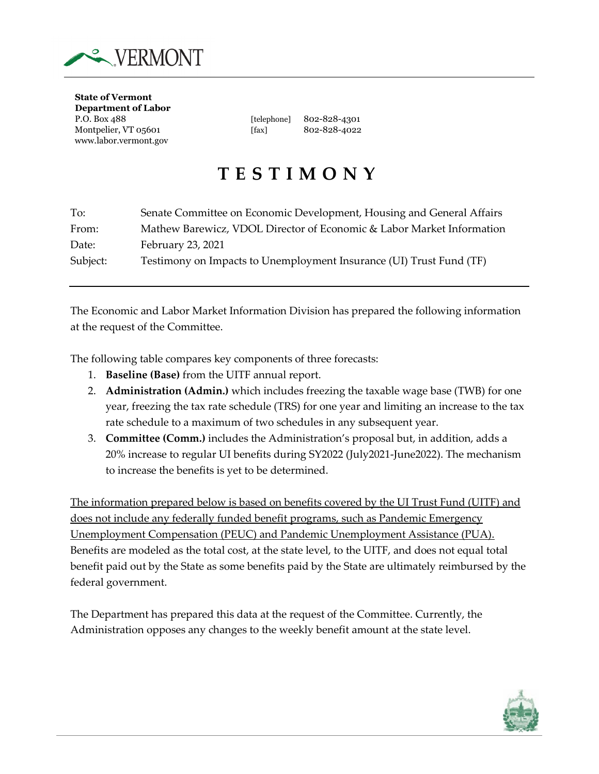

**State of Vermont Department of Labor** P.O. Box 488 [telephone] 802-828-4301 Montpelier, VT 05601 [fax] 802-828-4022 www.labor.vermont.gov

## **TESTIMONY**

| To:      | Senate Committee on Economic Development, Housing and General Affairs |
|----------|-----------------------------------------------------------------------|
| From:    | Mathew Barewicz, VDOL Director of Economic & Labor Market Information |
| Date:    | February 23, 2021                                                     |
| Subject: | Testimony on Impacts to Unemployment Insurance (UI) Trust Fund (TF)   |

The Economic and Labor Market Information Division has prepared the following information at the request of the Committee.

The following table compares key components of three forecasts:

- 1. **Baseline (Base)** from the UITF annual report.
- 2. **Administration (Admin.)** which includes freezing the taxable wage base (TWB) for one year, freezing the tax rate schedule (TRS) for one year and limiting an increase to the tax rate schedule to a maximum of two schedules in any subsequent year.
- 3. **Committee (Comm.)** includes the Administration's proposal but, in addition, adds a 20% increase to regular UI benefits during SY2022 (July2021-June2022). The mechanism to increase the benefits is yet to be determined.

The information prepared below is based on benefits covered by the UI Trust Fund (UITF) and does not include any federally funded benefit programs, such as Pandemic Emergency Unemployment Compensation (PEUC) and Pandemic Unemployment Assistance (PUA). Benefits are modeled as the total cost, at the state level, to the UITF, and does not equal total benefit paid out by the State as some benefits paid by the State are ultimately reimbursed by the federal government.

The Department has prepared this data at the request of the Committee. Currently, the Administration opposes any changes to the weekly benefit amount at the state level.